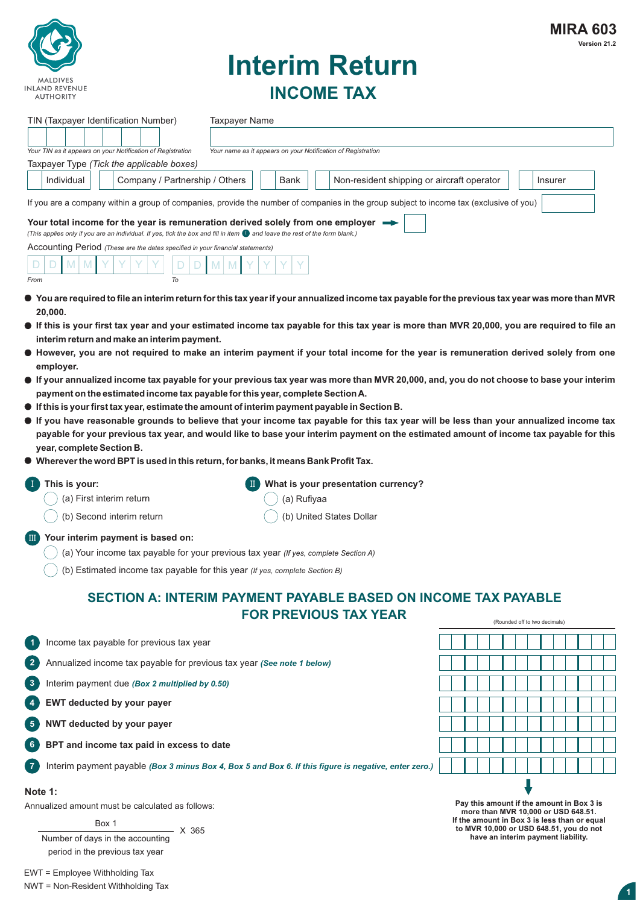

# **Interim Return INCOME TAX**

| TIN (Taxpayer Identification Number)                                                                                                                                                                                                                                                                                                                                                                                                                                                                                                                                                                                                                                                                                                                                                                                                                                                                                                                                                                                                                                                                                                                                                                                                                                                                                                                                                                                                                                                                                                                                                                                                | <b>Taxpayer Name</b>                                                                                                                                               |             |                                                              |  |                               |  |
|-------------------------------------------------------------------------------------------------------------------------------------------------------------------------------------------------------------------------------------------------------------------------------------------------------------------------------------------------------------------------------------------------------------------------------------------------------------------------------------------------------------------------------------------------------------------------------------------------------------------------------------------------------------------------------------------------------------------------------------------------------------------------------------------------------------------------------------------------------------------------------------------------------------------------------------------------------------------------------------------------------------------------------------------------------------------------------------------------------------------------------------------------------------------------------------------------------------------------------------------------------------------------------------------------------------------------------------------------------------------------------------------------------------------------------------------------------------------------------------------------------------------------------------------------------------------------------------------------------------------------------------|--------------------------------------------------------------------------------------------------------------------------------------------------------------------|-------------|--------------------------------------------------------------|--|-------------------------------|--|
|                                                                                                                                                                                                                                                                                                                                                                                                                                                                                                                                                                                                                                                                                                                                                                                                                                                                                                                                                                                                                                                                                                                                                                                                                                                                                                                                                                                                                                                                                                                                                                                                                                     |                                                                                                                                                                    |             |                                                              |  |                               |  |
| Your TIN as it appears on your Notification of Registration                                                                                                                                                                                                                                                                                                                                                                                                                                                                                                                                                                                                                                                                                                                                                                                                                                                                                                                                                                                                                                                                                                                                                                                                                                                                                                                                                                                                                                                                                                                                                                         |                                                                                                                                                                    |             | Your name as it appears on your Notification of Registration |  |                               |  |
| Taxpayer Type (Tick the applicable boxes)<br>Individual                                                                                                                                                                                                                                                                                                                                                                                                                                                                                                                                                                                                                                                                                                                                                                                                                                                                                                                                                                                                                                                                                                                                                                                                                                                                                                                                                                                                                                                                                                                                                                             | Company / Partnership / Others                                                                                                                                     | Bank        | Non-resident shipping or aircraft operator                   |  | Insurer                       |  |
|                                                                                                                                                                                                                                                                                                                                                                                                                                                                                                                                                                                                                                                                                                                                                                                                                                                                                                                                                                                                                                                                                                                                                                                                                                                                                                                                                                                                                                                                                                                                                                                                                                     |                                                                                                                                                                    |             |                                                              |  |                               |  |
| If you are a company within a group of companies, provide the number of companies in the group subject to income tax (exclusive of you)<br>Your total income for the year is remuneration derived solely from one employer $\blacksquare$<br>(This applies only if you are an individual. If yes, tick the box and fill in item $\bullet$ and leave the rest of the form blank.)<br>Accounting Period (These are the dates specified in your financial statements)<br>From<br>$\bullet$ You are required to file an interim return for this tax year if your annualized income tax payable for the previous tax year was more than MVR<br>20,000.<br>• If this is your first tax year and your estimated income tax payable for this tax year is more than MVR 20,000, you are required to file an<br>interim return and make an interim payment.<br>● However, you are not required to make an interim payment if your total income for the year is remuneration derived solely from one<br>employer.<br>• If your annualized income tax payable for your previous tax year was more than MVR 20,000, and, you do not choose to base your interim<br>payment on the estimated income tax payable for this year, complete Section A.<br>$\bullet$ If this is your first tax year, estimate the amount of interim payment payable in Section B.<br>• If you have reasonable grounds to believe that your income tax payable for this tax year will be less than your annualized income tax<br>payable for your previous tax year, and would like to base your interim payment on the estimated amount of income tax payable for this | To                                                                                                                                                                 |             |                                                              |  |                               |  |
| year, complete Section B.<br>Wherever the word BPT is used in this return, for banks, it means Bank Profit Tax.<br>This is your:                                                                                                                                                                                                                                                                                                                                                                                                                                                                                                                                                                                                                                                                                                                                                                                                                                                                                                                                                                                                                                                                                                                                                                                                                                                                                                                                                                                                                                                                                                    |                                                                                                                                                                    |             | What is your presentation currency?                          |  |                               |  |
| (a) First interim return                                                                                                                                                                                                                                                                                                                                                                                                                                                                                                                                                                                                                                                                                                                                                                                                                                                                                                                                                                                                                                                                                                                                                                                                                                                                                                                                                                                                                                                                                                                                                                                                            |                                                                                                                                                                    | (a) Rufiyaa |                                                              |  |                               |  |
| (b) Second interim return                                                                                                                                                                                                                                                                                                                                                                                                                                                                                                                                                                                                                                                                                                                                                                                                                                                                                                                                                                                                                                                                                                                                                                                                                                                                                                                                                                                                                                                                                                                                                                                                           |                                                                                                                                                                    |             | (b) United States Dollar                                     |  |                               |  |
| Your interim payment is based on:<br>m                                                                                                                                                                                                                                                                                                                                                                                                                                                                                                                                                                                                                                                                                                                                                                                                                                                                                                                                                                                                                                                                                                                                                                                                                                                                                                                                                                                                                                                                                                                                                                                              | (a) Your income tax payable for your previous tax year (If yes, complete Section A)<br>(b) Estimated income tax payable for this year (If yes, complete Section B) |             |                                                              |  |                               |  |
|                                                                                                                                                                                                                                                                                                                                                                                                                                                                                                                                                                                                                                                                                                                                                                                                                                                                                                                                                                                                                                                                                                                                                                                                                                                                                                                                                                                                                                                                                                                                                                                                                                     | <b>SECTION A: INTERIM PAYMENT PAYABLE BASED ON INCOME TAX PAYABLE</b>                                                                                              |             | <b>FOR PREVIOUS TAX YEAR</b>                                 |  | (Rounded off to two decimals) |  |
| Income tax payable for previous tax year<br>$\blacktriangleleft$                                                                                                                                                                                                                                                                                                                                                                                                                                                                                                                                                                                                                                                                                                                                                                                                                                                                                                                                                                                                                                                                                                                                                                                                                                                                                                                                                                                                                                                                                                                                                                    |                                                                                                                                                                    |             |                                                              |  |                               |  |
| $\overline{2}$                                                                                                                                                                                                                                                                                                                                                                                                                                                                                                                                                                                                                                                                                                                                                                                                                                                                                                                                                                                                                                                                                                                                                                                                                                                                                                                                                                                                                                                                                                                                                                                                                      | Annualized income tax payable for previous tax year (See note 1 below)                                                                                             |             |                                                              |  |                               |  |
| 3<br>Interim payment due (Box 2 multiplied by 0.50)                                                                                                                                                                                                                                                                                                                                                                                                                                                                                                                                                                                                                                                                                                                                                                                                                                                                                                                                                                                                                                                                                                                                                                                                                                                                                                                                                                                                                                                                                                                                                                                 |                                                                                                                                                                    |             |                                                              |  |                               |  |
| EWT deducted by your payer<br>$\overline{4}$                                                                                                                                                                                                                                                                                                                                                                                                                                                                                                                                                                                                                                                                                                                                                                                                                                                                                                                                                                                                                                                                                                                                                                                                                                                                                                                                                                                                                                                                                                                                                                                        |                                                                                                                                                                    |             |                                                              |  |                               |  |
| $5\phantom{.0}$<br>NWT deducted by your payer                                                                                                                                                                                                                                                                                                                                                                                                                                                                                                                                                                                                                                                                                                                                                                                                                                                                                                                                                                                                                                                                                                                                                                                                                                                                                                                                                                                                                                                                                                                                                                                       |                                                                                                                                                                    |             |                                                              |  |                               |  |
| BPT and income tax paid in excess to date<br>6                                                                                                                                                                                                                                                                                                                                                                                                                                                                                                                                                                                                                                                                                                                                                                                                                                                                                                                                                                                                                                                                                                                                                                                                                                                                                                                                                                                                                                                                                                                                                                                      |                                                                                                                                                                    |             |                                                              |  |                               |  |
| 7                                                                                                                                                                                                                                                                                                                                                                                                                                                                                                                                                                                                                                                                                                                                                                                                                                                                                                                                                                                                                                                                                                                                                                                                                                                                                                                                                                                                                                                                                                                                                                                                                                   | Interim payment payable (Box 3 minus Box 4, Box 5 and Box 6. If this figure is negative, enter zero.)                                                              |             |                                                              |  |                               |  |
| Note 1:                                                                                                                                                                                                                                                                                                                                                                                                                                                                                                                                                                                                                                                                                                                                                                                                                                                                                                                                                                                                                                                                                                                                                                                                                                                                                                                                                                                                                                                                                                                                                                                                                             |                                                                                                                                                                    |             |                                                              |  |                               |  |

Annualized amount must be calculated as follows:

Box 1

Number of days in the accounting period in the previous tax year  $- X 365$  **2 Pay this amount if the amount in Box 3 is more than MVR 10,000 or USD 648.51. If the amount in Box 3 is less than or equal to MVR 10,000 or USD 648.51, you do not have an interim payment liability.**

EWT = Employee Withholding Tax NWT = Non-Resident Withholding Tax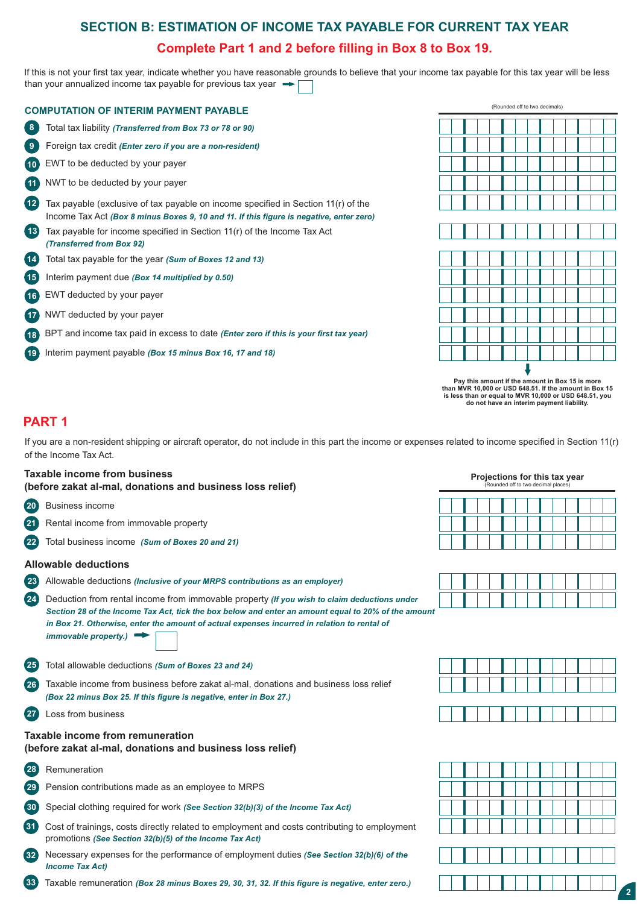# **SECTION B: ESTIMATION OF INCOME TAX PAYABLE FOR CURRENT TAX YEAR**

### **Complete Part 1 and 2 before filling in Box 8 to Box 19.**

If this is not your first tax year, indicate whether you have reasonable grounds to believe that your income tax payable for this tax year will be less than your annualized income tax payable for previous tax year  $\rightarrow$ 

|                    | <b>COMPUTATION OF INTERIM PAYMENT PAYABLE</b>                                                                                                                                |
|--------------------|------------------------------------------------------------------------------------------------------------------------------------------------------------------------------|
| 8                  | Total tax liability (Transferred from Box 73 or 78 or 90)                                                                                                                    |
| 9                  | Foreign tax credit (Enter zero if you are a non-resident)                                                                                                                    |
| (10)               | EWT to be deducted by your payer                                                                                                                                             |
| (11)               | NWT to be deducted by your payer                                                                                                                                             |
| $\sqrt{12}$        | Tax payable (exclusive of tax payable on income specified in Section 11(r) of the<br>Income Tax Act (Box 8 minus Boxes 9, 10 and 11. If this figure is negative, enter zero) |
| $\left( 13\right)$ | Tax payable for income specified in Section 11(r) of the Income Tax Act<br>(Transferred from Box 92)                                                                         |
| 14                 | Total tax payable for the year (Sum of Boxes 12 and 13)                                                                                                                      |
| (15)               | Interim payment due (Box 14 multiplied by 0.50)                                                                                                                              |
| (16)               | EWT deducted by your payer                                                                                                                                                   |
| $\sqrt{17}$        | NWT deducted by your payer                                                                                                                                                   |
| (18)               | BPT and income tax paid in excess to date (Enter zero if this is your first tax year)                                                                                        |
| ່ 19               | Interim payment payable (Box 15 minus Box 16, 17 and 18)                                                                                                                     |



**2 do not have an interim payment liability. Pay this amount if the amount in Box 15 is more than MVR 10,000 or USD 648.51. If the amount in Box 15 is less than or equal to MVR 10,000 or USD 648.51, you** 

### **PART 1**

If you are a non-resident shipping or aircraft operator, do not include in this part the income or expenses related to income specified in Section 11(r) of the Income Tax Act.

### **Taxable income from business** *Projections for this tax year* **<b>Projections for this tax year**

**(before zakat al-mal, donations and business loss relief)**

- **20** Business income
- **21** Rental income from immovable property
- **22** Total business income *(Sum of Boxes 20 and 21)*

### **Allowable deductions**

- **23** Allowable deductions *(Inclusive of your MRPS contributions as an employer)*
- *Section 28 of the Income Tax Act, tick the box below and enter an amount equal to 20% of the amount*  **24** Deduction from rental income from immovable property *(If you wish to claim deductions under in Box 21. Otherwise, enter the amount of actual expenses incurred in relation to rental of immovable property.)*
- **25** Total allowable deductions *(Sum of Boxes 23 and 24)*
- **26** Taxable income from business before zakat al-mal, donations and business loss relief *(Box 22 minus Box 25. If this figure is negative, enter in Box 27.)*
- **27** Loss from business

### **Taxable income from remuneration (before zakat al-mal, donations and business loss relief)**

- **28** Remuneration
- **29** Pension contributions made as an employee to MRPS
- **30** Special clothing required for work *(See Section 32(b)(3) of the Income Tax Act)*
- **31** Cost of trainings, costs directly related to employment and costs contributing to employment promotions *(See Section 32(b)(5) of the Income Tax Act)*
- **32** Necessary expenses for the performance of employment duties *(See Section 32(b)(6) of the Income Tax Act)*
- **33** Taxable remuneration *(Box 28 minus Boxes 29, 30, 31, 32. If this figure is negative, enter zero.)*







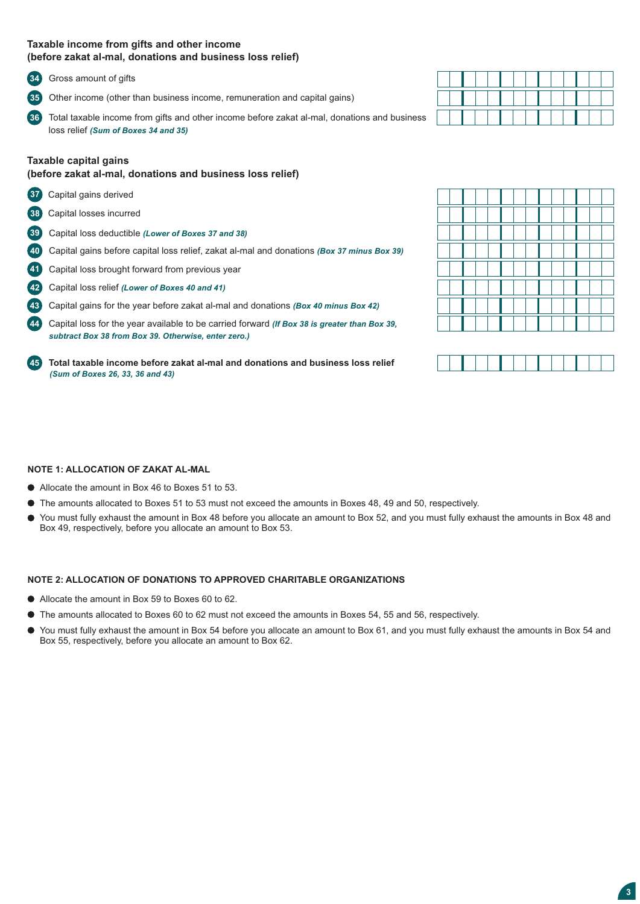### **Taxable income from gifts and other income (before zakat al-mal, donations and business loss relief)**

**34** Gross amount of gifts

**35** Other income (other than business income, remuneration and capital gains)

**362** Total taxable income from gifts and other income before zakat al-mal, donations and business loss relief *(Sum of Boxes 34 and 35)* 

### **Taxable capital gains**

### **(before zakat al-mal, donations and business loss relief)**

- **37** Capital gains derived
- **38** Capital losses incurred
- **392** Capital loss deductible *(Lower of Boxes 37 and 38)*
- **402** Capital gains before capital loss relief, zakat al-mal and donations *(Box 37 minus Box 39)*
- **41** Capital loss brought forward from previous year
- **422** Capital loss relief *(Lower of Boxes 40 and 41)*
- **432** Capital gains for the year before zakat al-mal and donations *(Box 40 minus Box 42)*

**442** Capital loss for the year available to be carried forward *(If Box 38 is greater than Box 39, subtract Box 38 from Box 39. Otherwise, enter zero.)*

**452 Total taxable income before zakat al-mal and donations and business loss relief** *(Sum of Boxes 26, 33, 36 and 43)* 



### **NOTE 1: ALLOCATION OF ZAKAT AL-MAL**

- Allocate the amount in Box 46 to Boxes 51 to 53.
- The amounts allocated to Boxes 51 to 53 must not exceed the amounts in Boxes 48, 49 and 50, respectively.
- You must fully exhaust the amount in Box 48 before you allocate an amount to Box 52, and you must fully exhaust the amounts in Box 48 and Box 49, respectively, before you allocate an amount to Box 53.

### **NOTE 2: ALLOCATION OF DONATIONS TO APPROVED CHARITABLE ORGANIZATIONS**

- Allocate the amount in Box 59 to Boxes 60 to 62.
- The amounts allocated to Boxes 60 to 62 must not exceed the amounts in Boxes 54, 55 and 56, respectively.
- You must fully exhaust the amount in Box 54 before you allocate an amount to Box 61, and you must fully exhaust the amounts in Box 54 and Box 55, respectively, before you allocate an amount to Box 62.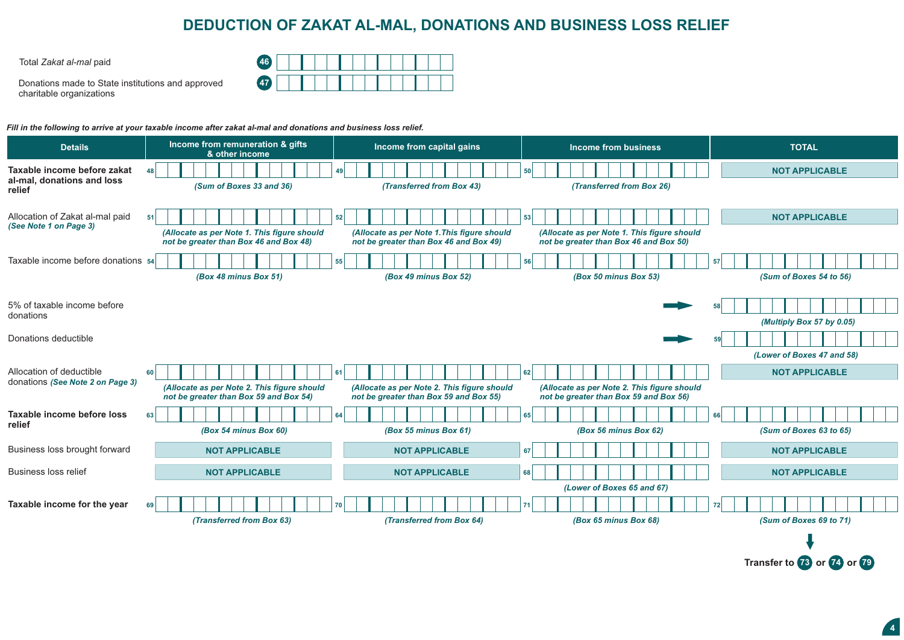## **DEDUCTION OF ZAKAT AL-MAL, DONATIONS AND BUSINESS LOSS RELIEF**

Total *Zakat al-mal* paid **46**

Donations made to State institutions and approved charitable organizations

| $\overline{AB}$ |  |  |  |  |  |  |  |
|-----------------|--|--|--|--|--|--|--|
| 47              |  |  |  |  |  |  |  |

*Fill in the following to arrive at your taxable income after zakat al-mal and donations and business loss relief.*

| <b>Details</b>                                                      | Income from remuneration & gifts<br>& other income                                          | Income from capital gains                                                                   | Income from business                                                                        | <b>TOTAL</b>                  |
|---------------------------------------------------------------------|---------------------------------------------------------------------------------------------|---------------------------------------------------------------------------------------------|---------------------------------------------------------------------------------------------|-------------------------------|
| Taxable income before zakat<br>al-mal, donations and loss<br>relief | 48  <br>(Sum of Boxes 33 and 36)                                                            | (Transferred from Box 43)                                                                   | 50<br>(Transferred from Box 26)                                                             | <b>NOT APPLICABLE</b>         |
| Allocation of Zakat al-mal paid<br>(See Note 1 on Page 3)           | 51<br>(Allocate as per Note 1. This figure should<br>not be greater than Box 46 and Box 48) | 52<br>(Allocate as per Note 1. This figure should<br>not be greater than Box 46 and Box 49) | 53<br>(Allocate as per Note 1. This figure should<br>not be greater than Box 46 and Box 50) | <b>NOT APPLICABLE</b>         |
| Taxable income before donations 54                                  | (Box 48 minus Box 51)                                                                       | 55<br>(Box 49 minus Box 52)                                                                 | 56<br>(Box 50 minus Box 53)                                                                 | 57<br>(Sum of Boxes 54 to 56) |
| 5% of taxable income before<br>donations                            |                                                                                             |                                                                                             |                                                                                             | (Multiply Box 57 by 0.05)     |
| Donations deductible                                                |                                                                                             |                                                                                             |                                                                                             | (Lower of Boxes 47 and 58)    |
| Allocation of deductible<br>donations (See Note 2 on Page 3)        | 60<br>(Allocate as per Note 2. This figure should<br>not be greater than Box 59 and Box 54) | 61<br>(Allocate as per Note 2. This figure should<br>not be greater than Box 59 and Box 55) | 62<br>(Allocate as per Note 2. This figure should<br>not be greater than Box 59 and Box 56) | <b>NOT APPLICABLE</b>         |
| Taxable income before loss<br>relief                                | 63 <br>(Box 54 minus Box 60)                                                                | 64<br>(Box 55 minus Box 61)                                                                 | 65<br>(Box 56 minus Box 62)                                                                 | 66<br>(Sum of Boxes 63 to 65) |
| Business loss brought forward                                       | <b>NOT APPLICABLE</b>                                                                       | <b>NOT APPLICABLE</b>                                                                       | 67                                                                                          | <b>NOT APPLICABLE</b>         |
| <b>Business loss relief</b>                                         | <b>NOT APPLICABLE</b>                                                                       | <b>NOT APPLICABLE</b>                                                                       | 68                                                                                          | <b>NOT APPLICABLE</b>         |
| Taxable income for the year                                         | 69<br>(Transferred from Box 63)                                                             | (Transferred from Box 64)                                                                   | (Lower of Boxes 65 and 67)<br>(Box 65 minus Box 68)                                         | 72<br>(Sum of Boxes 69 to 71) |
|                                                                     |                                                                                             |                                                                                             |                                                                                             |                               |

**4**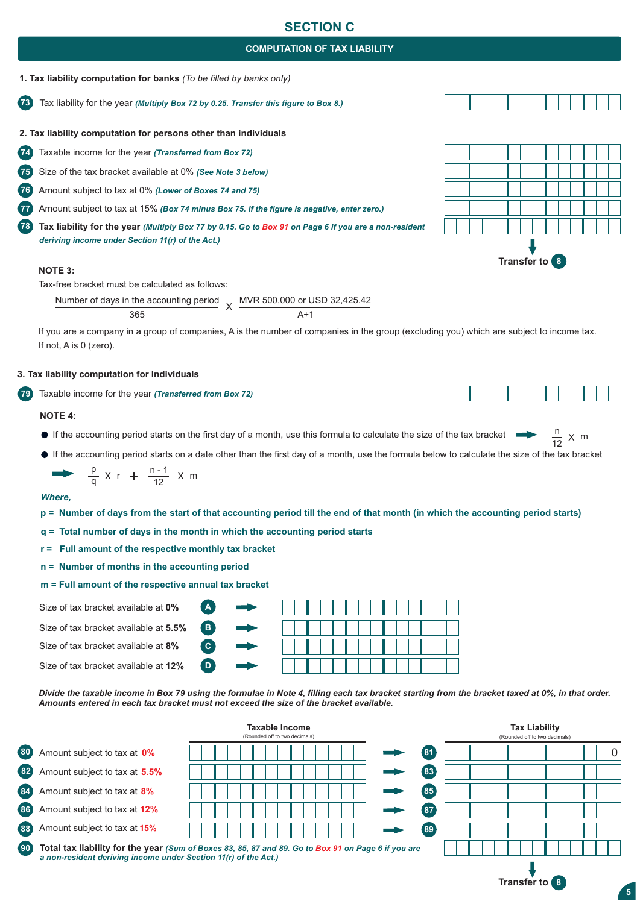### **SECTION C**

### **COMPUTATION OF TAX LIABILITY**



**73** Tax liability for the year *(Multiply Box 72 by 0.25. Transfer this figure to Box 8.)*

**2. Tax liability computation for persons other than individuals** 

**74** Taxable income for the year *(Transferred from Box 72)*

**75** Size of the tax bracket available at 0% *(See Note 3 below)*

**76** Amount subject to tax at 0% *(Lower of Boxes 74 and 75)* 

**77** Amount subject to tax at 15% *(Box 74 minus Box 75. If the figure is negative, enter zero.)*

**78 Tax liability for the year** *(Multiply Box 77 by 0.15. Go to Box 91 on Page 6 if you are a non-resident deriving income under Section 11(r) of the Act.)*

#### **NOTE 3:**

Tax-free bracket must be calculated as follows:

Number of days in the accounting period 365  $\vee$ MVR 500,000 or USD 32,425.42  $\Delta+1$ 

If you are a company in a group of companies, A is the number of companies in the group (excluding you) which are subject to income tax. If not, A is 0 (zero).

#### **3. Tax liability computation for Individuals**

**792** Taxable income for the year *(Transferred from Box 72)*

#### **NOTE 4:**

- If the accounting period starts on the first day of a month, use this formula to calculate the size of the tax bracket  $\frac{n}{12}$
- If the accounting period starts on a date other than the first day of a month, use the formula below to calculate the size of the tax bracket

$$
\rightarrow \frac{p}{q} \times r + \frac{n-1}{12} \times m
$$

#### *Where,*

- **p = Number of days from the start of that accounting period till the end of that month (in which the accounting period starts)**
- **q = Total number of days in the month in which the accounting period starts**

**B2 C2**

**D2**

**A2**

- **r = Full amount of the respective monthly tax bracket**
- **n = Number of months in the accounting period**
- **m = Full amount of the respective annual tax bracket**
- Size of tax bracket available at **0%**
- Size of tax bracket available at **5.5%**
- Size of tax bracket available at **8%**

Size of tax bracket available at **12%**



*Divide the taxable income in Box 79 using the formulae in Note 4, filling each tax bracket starting from the bracket taxed at 0%, in that order. Amounts entered in each tax bracket must not exceed the size of the bracket available.*













**5**